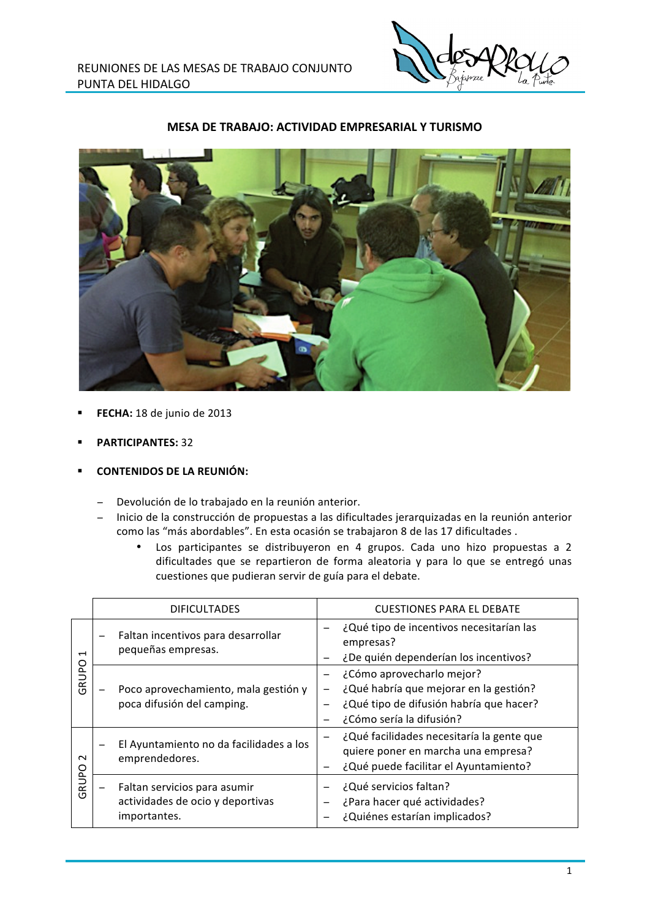

## MESA DE TRABAJO: ACTIVIDAD EMPRESARIAL Y TURISMO



- FECHA: 18 de junio de 2013
- **PARTICIPANTES: 32**
- **CONTENIDOS DE LA REUNIÓN:** 
	- Devolución de lo trabajado en la reunión anterior.
	- Inicio de la construcción de propuestas a las dificultades jerarquizadas en la reunión anterior como las "más abordables". En esta ocasión se trabajaron 8 de las 17 dificultades.
		- Los participantes se distribuyeron en 4 grupos. Cada uno hizo propuestas a 2  $\bullet$ dificultades que se repartieron de forma aleatoria y para lo que se entregó unas cuestiones que pudieran servir de guía para el debate.

|                                   | <b>DIFICULTADES</b>                                                              | <b>CUESTIONES PARA EL DEBATE</b>                                                                                                                                       |  |  |  |  |  |
|-----------------------------------|----------------------------------------------------------------------------------|------------------------------------------------------------------------------------------------------------------------------------------------------------------------|--|--|--|--|--|
| $\overline{\phantom{0}}$<br>GRUPO | Faltan incentivos para desarrollar<br>pequeñas empresas.                         | ¿Qué tipo de incentivos necesitarían las<br>empresas?<br>¿De quién dependerían los incentivos?                                                                         |  |  |  |  |  |
|                                   | Poco aprovechamiento, mala gestión y<br>poca difusión del camping.               | ¿Cómo aprovecharlo mejor?<br>¿Qué habría que mejorar en la gestión?<br>$\overline{\phantom{0}}$<br>¿Qué tipo de difusión habría que hacer?<br>¿Cómo sería la difusión? |  |  |  |  |  |
| $\sim$<br>RUPO<br>O)              | El Ayuntamiento no da facilidades a los<br>emprendedores.                        | ¿Qué facilidades necesitaría la gente que<br>quiere poner en marcha una empresa?<br>¿Qué puede facilitar el Ayuntamiento?                                              |  |  |  |  |  |
|                                   | Faltan servicios para asumir<br>actividades de ocio y deportivas<br>importantes. | ¿Qué servicios faltan?<br>¿Para hacer qué actividades?<br>¿Quiénes estarían implicados?                                                                                |  |  |  |  |  |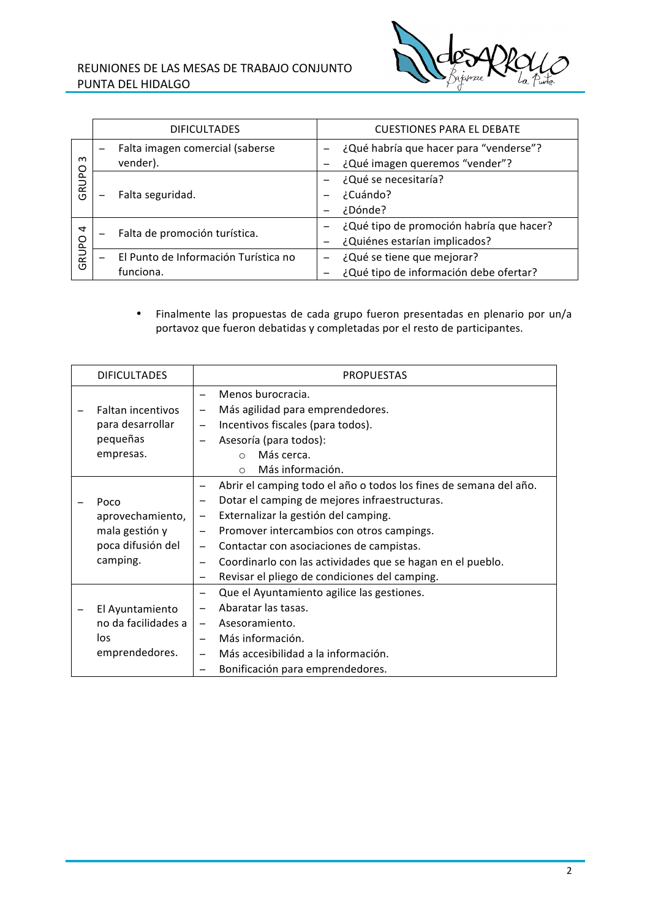## REUNIONES DE LAS MESAS DE TRABAJO CONJUNTO PUNTA DEL HIDALGO



|                          | <b>DIFICULTADES</b>                         | <b>CUESTIONES PARA EL DEBATE</b>                                         |
|--------------------------|---------------------------------------------|--------------------------------------------------------------------------|
| $\omega$<br><b>GRUPO</b> | Falta imagen comercial (saberse<br>vender). | ¿Qué habría que hacer para "venderse"?<br>¿Qué imagen queremos "vender"? |
|                          | Falta seguridad.                            | ¿Qué se necesitaría?                                                     |
|                          |                                             | ¿Cuándo?                                                                 |
|                          |                                             | ¿Dónde?                                                                  |
| 4<br><b>GRUPO</b>        | Falta de promoción turística.               | ¿Qué tipo de promoción habría que hacer?<br>$\overline{\phantom{0}}$     |
|                          |                                             | ¿Quiénes estarían implicados?                                            |
|                          | El Punto de Información Turística no        | ¿Qué se tiene que mejorar?                                               |
|                          | funciona.                                   | ¿Qué tipo de información debe ofertar?                                   |

· Finalmente las propuestas de cada grupo fueron presentadas en plenario por un/a portavoz que fueron debatidas y completadas por el resto de participantes.

| <b>DIFICULTADES</b>                                                         | <b>PROPUESTAS</b>                                                              |                                                                                                                                                                                                                                                                                                                                                                    |
|-----------------------------------------------------------------------------|--------------------------------------------------------------------------------|--------------------------------------------------------------------------------------------------------------------------------------------------------------------------------------------------------------------------------------------------------------------------------------------------------------------------------------------------------------------|
| Faltan incentivos<br>para desarrollar<br>pequeñas<br>empresas.              |                                                                                | Menos burocracia.<br>Más agilidad para emprendedores.<br>Incentivos fiscales (para todos).<br>Asesoría (para todos):<br>Más cerca.<br>$\bigcap$<br>Más información.<br>$\Omega$                                                                                                                                                                                    |
| Poco<br>aprovechamiento,<br>mala gestión y<br>poca difusión del<br>camping. | $\qquad \qquad -$<br>$\overline{\phantom{m}}$<br>$\overline{\phantom{m}}$<br>— | Abrir el camping todo el año o todos los fines de semana del año.<br>Dotar el camping de mejores infraestructuras.<br>Externalizar la gestión del camping.<br>Promover intercambios con otros campings.<br>Contactar con asociaciones de campistas.<br>Coordinarlo con las actividades que se hagan en el pueblo.<br>Revisar el pliego de condiciones del camping. |
| El Ayuntamiento<br>no da facilidades a<br>los<br>emprendedores.             | $\overline{\phantom{m}}$<br>$\equiv$                                           | Que el Ayuntamiento agilice las gestiones.<br>Abaratar las tasas.<br>Asesoramiento.<br>Más información.<br>Más accesibilidad a la información.<br>Bonificación para emprendedores.                                                                                                                                                                                 |